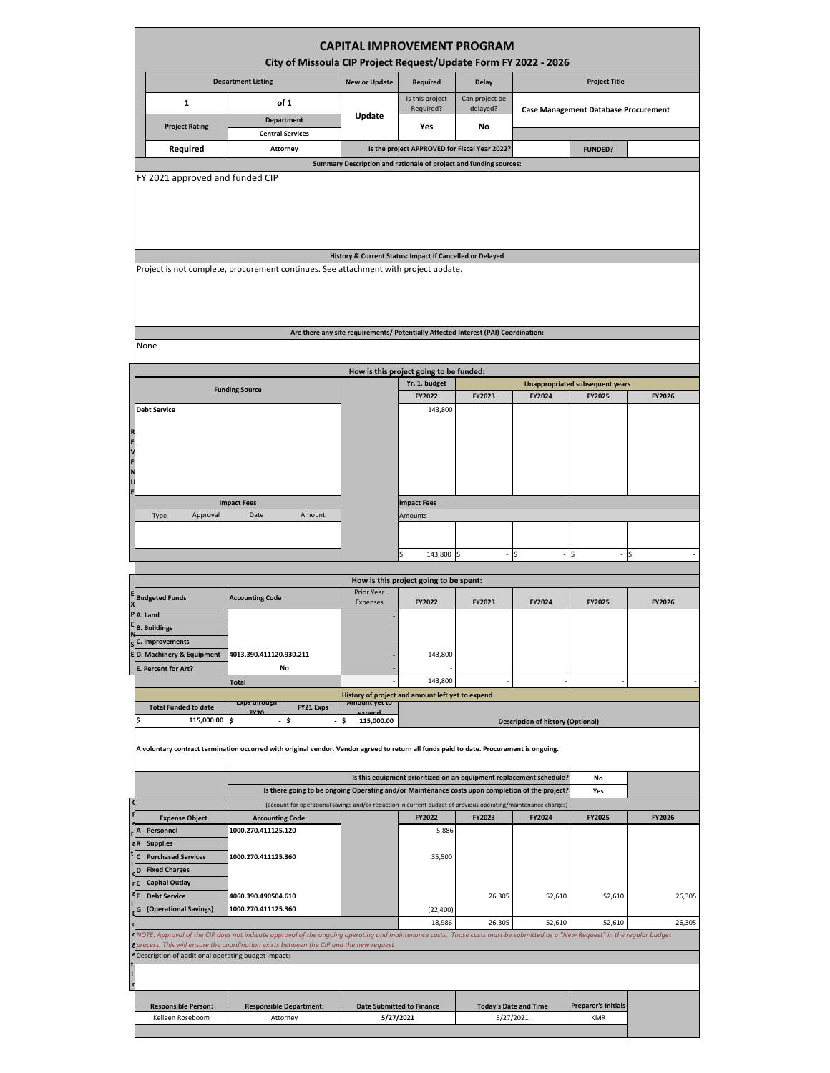| <b>CAPITAL IMPROVEMENT PROGRAM</b><br>City of Missoula CIP Project Request/Update Form FY 2022 - 2026                                                                                                                                                                                                                                                                        |                                                                                                                                      |                               |        |                                                                                                                                                                              |                            |                                             |                      |                                        |        |  |
|------------------------------------------------------------------------------------------------------------------------------------------------------------------------------------------------------------------------------------------------------------------------------------------------------------------------------------------------------------------------------|--------------------------------------------------------------------------------------------------------------------------------------|-------------------------------|--------|------------------------------------------------------------------------------------------------------------------------------------------------------------------------------|----------------------------|---------------------------------------------|----------------------|----------------------------------------|--------|--|
|                                                                                                                                                                                                                                                                                                                                                                              | <b>Department Listing</b>                                                                                                            |                               |        | <b>New or Update</b>                                                                                                                                                         | Required                   | <b>Delay</b>                                | <b>Project Title</b> |                                        |        |  |
| $\mathbf{1}$                                                                                                                                                                                                                                                                                                                                                                 | of 1                                                                                                                                 |                               |        | Is this project<br>Required?                                                                                                                                                 | Can project be<br>delayed? | <b>Case Management Database Procurement</b> |                      |                                        |        |  |
|                                                                                                                                                                                                                                                                                                                                                                              | <b>Department</b><br><b>Project Rating</b>                                                                                           |                               | Update | Yes                                                                                                                                                                          | No                         |                                             |                      |                                        |        |  |
|                                                                                                                                                                                                                                                                                                                                                                              | <b>Central Services</b><br>Required<br>Attorney                                                                                      |                               |        |                                                                                                                                                                              |                            | <b>FUNDED?</b>                              |                      |                                        |        |  |
| Is the project APPROVED for Fiscal Year 2022?<br>Summary Description and rationale of project and funding sources:                                                                                                                                                                                                                                                           |                                                                                                                                      |                               |        |                                                                                                                                                                              |                            |                                             |                      |                                        |        |  |
| FY 2021 approved and funded CIP                                                                                                                                                                                                                                                                                                                                              |                                                                                                                                      |                               |        |                                                                                                                                                                              |                            |                                             |                      |                                        |        |  |
| History & Current Status: Impact if Cancelled or Delayed<br>Project is not complete, procurement continues. See attachment with project update.<br>Are there any site requirements/ Potentially Affected Interest (PAI) Coordination:                                                                                                                                        |                                                                                                                                      |                               |        |                                                                                                                                                                              |                            |                                             |                      |                                        |        |  |
| None                                                                                                                                                                                                                                                                                                                                                                         |                                                                                                                                      |                               |        |                                                                                                                                                                              |                            |                                             |                      |                                        |        |  |
| How is this project going to be funded:                                                                                                                                                                                                                                                                                                                                      |                                                                                                                                      |                               |        |                                                                                                                                                                              |                            |                                             |                      |                                        |        |  |
| <b>Funding Source</b>                                                                                                                                                                                                                                                                                                                                                        |                                                                                                                                      |                               |        |                                                                                                                                                                              | Yr. 1. budget              |                                             |                      | <b>Unappropriated subsequent years</b> |        |  |
| <b>Debt Service</b>                                                                                                                                                                                                                                                                                                                                                          |                                                                                                                                      |                               |        |                                                                                                                                                                              | FY2022<br>143,800          | FY2023                                      | FY2024               | FY2025                                 | FY2026 |  |
| <b>R</b> 2 m 2 m                                                                                                                                                                                                                                                                                                                                                             |                                                                                                                                      |                               |        |                                                                                                                                                                              |                            |                                             |                      |                                        |        |  |
|                                                                                                                                                                                                                                                                                                                                                                              | <b>Impact Fees</b>                                                                                                                   |                               |        |                                                                                                                                                                              | <b>Impact Fees</b>         |                                             |                      |                                        |        |  |
| Approval<br>Date<br>Amount<br>Type                                                                                                                                                                                                                                                                                                                                           |                                                                                                                                      |                               |        | Amounts                                                                                                                                                                      |                            |                                             |                      |                                        |        |  |
|                                                                                                                                                                                                                                                                                                                                                                              |                                                                                                                                      |                               |        |                                                                                                                                                                              |                            |                                             |                      |                                        |        |  |
|                                                                                                                                                                                                                                                                                                                                                                              |                                                                                                                                      |                               |        |                                                                                                                                                                              | 143,800<br>Ś               |                                             | S                    |                                        |        |  |
| How is this project going to be spent:                                                                                                                                                                                                                                                                                                                                       |                                                                                                                                      |                               |        |                                                                                                                                                                              |                            |                                             |                      |                                        |        |  |
| <b>Budgeted Funds</b>                                                                                                                                                                                                                                                                                                                                                        |                                                                                                                                      | <b>Accounting Code</b>        |        | Prior Year<br>Expenses                                                                                                                                                       | FY2022                     | FY2023                                      | FY2024               | FY2025                                 | FY2026 |  |
| A. Land<br><b>B. Buildings</b><br>C. Improvements<br>D. Machinery & Equipment<br>E. Percent for Art?                                                                                                                                                                                                                                                                         |                                                                                                                                      | 4013.390.411120.930.211<br>No |        |                                                                                                                                                                              | 143,800                    |                                             |                      |                                        |        |  |
|                                                                                                                                                                                                                                                                                                                                                                              |                                                                                                                                      | <b>Total</b>                  |        |                                                                                                                                                                              | 143,800                    |                                             |                      |                                        |        |  |
|                                                                                                                                                                                                                                                                                                                                                                              | History of project and amount left yet to expend<br><b>EXPS through</b><br>Amount yet to<br><b>Total Funded to date</b><br>FY21 Exps |                               |        |                                                                                                                                                                              |                            |                                             |                      |                                        |        |  |
|                                                                                                                                                                                                                                                                                                                                                                              | 115,000.00<br>Ś<br>l\$<br>Ś<br>115,000.00<br><b>Description of history (Optional)</b>                                                |                               |        |                                                                                                                                                                              |                            |                                             |                      |                                        |        |  |
| A voluntary contract termination occurred with original vendor. Vendor agreed to return all funds paid to date. Procurement is ongoing.                                                                                                                                                                                                                                      |                                                                                                                                      |                               |        |                                                                                                                                                                              |                            |                                             |                      |                                        |        |  |
|                                                                                                                                                                                                                                                                                                                                                                              |                                                                                                                                      |                               |        | Is this equipment prioritized on an equipment replacement schedule?<br>No<br>Is there going to be ongoing Operating and/or Maintenance costs upon completion of the project? |                            |                                             |                      |                                        |        |  |
|                                                                                                                                                                                                                                                                                                                                                                              |                                                                                                                                      |                               |        | (account for operational savings and/or reduction in current budget of previous operating/maintenance charges)                                                               |                            |                                             |                      | Yes                                    |        |  |
| <b>Expense Object</b>                                                                                                                                                                                                                                                                                                                                                        |                                                                                                                                      | <b>Accounting Code</b>        |        |                                                                                                                                                                              | FY2022                     | FY2023                                      | FY2024               | FY2025                                 | FY2026 |  |
| Personnel<br><b>Supplies</b>                                                                                                                                                                                                                                                                                                                                                 |                                                                                                                                      | 1000.270.411125.120           |        |                                                                                                                                                                              | 5,886                      |                                             |                      |                                        |        |  |
| <b>Purchased Services</b><br><b>Fixed Charges</b>                                                                                                                                                                                                                                                                                                                            |                                                                                                                                      | 1000.270.411125.360           |        |                                                                                                                                                                              | 35,500                     |                                             |                      |                                        |        |  |
| <b>Capital Outlay</b><br><b>Debt Service</b>                                                                                                                                                                                                                                                                                                                                 |                                                                                                                                      | 4060.390.490504.610           |        |                                                                                                                                                                              |                            | 26,305                                      | 52,610               | 52,610                                 | 26,305 |  |
| (Operational Savings)<br>G                                                                                                                                                                                                                                                                                                                                                   | 1000.270.411125.360                                                                                                                  |                               |        |                                                                                                                                                                              | (22, 400)                  |                                             |                      |                                        |        |  |
| 18,986<br>26,305<br>52,610<br>52,610<br>26,305<br>NOTE: Approval of the CIP does not indicate approval of the ongoing operating and maintenance costs. Those costs must be submitted as a "New Request" in the regular budget<br>process. This will ensure the coordination exists between the CIP and the new request<br>Description of additional operating budget impact: |                                                                                                                                      |                               |        |                                                                                                                                                                              |                            |                                             |                      |                                        |        |  |
|                                                                                                                                                                                                                                                                                                                                                                              |                                                                                                                                      |                               |        |                                                                                                                                                                              |                            |                                             |                      |                                        |        |  |
|                                                                                                                                                                                                                                                                                                                                                                              | <b>Responsible Person:</b><br><b>Responsible Department:</b>                                                                         |                               |        | <b>Date Submitted to Finance</b><br><b>Today's Date and Time</b>                                                                                                             |                            |                                             |                      | <b>Preparer's Initials</b>             |        |  |
| Kelleen Roseboom<br>Attorney                                                                                                                                                                                                                                                                                                                                                 |                                                                                                                                      |                               |        | 5/27/2021<br>5/27/2021                                                                                                                                                       |                            |                                             | <b>KMR</b>           |                                        |        |  |